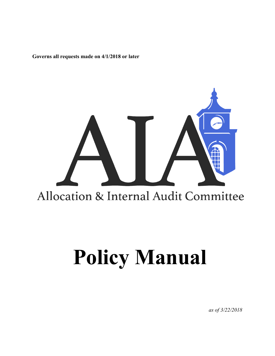**Governs all requests made on 4/1/2018 or later**

# Allocation & Internal Audit Committee

# **Policy Manual**

*as of 3/22/2018*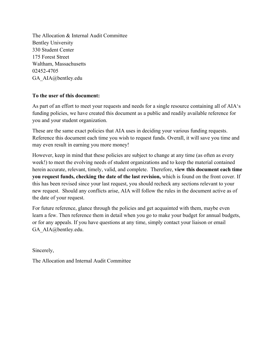The Allocation & Internal Audit Committee Bentley University 330 Student Center 175 Forest Street Waltham, Massachusetts 02452-4705 GA\_AIA@bentley.edu

#### **To the user of this document:**

As part of an effort to meet your requests and needs for a single resource containing all of AIA's funding policies, we have created this document as a public and readily available reference for you and your student organization.

These are the same exact policies that AIA uses in deciding your various funding requests. Reference this document each time you wish to request funds. Overall, it will save you time and may even result in earning you more money!

However, keep in mind that these policies are subject to change at any time (as often as every week!) to meet the evolving needs of student organizations and to keep the material contained herein accurate, relevant, timely, valid, and complete. Therefore, **view this document each time you request funds, checking the date of the last revision,** which is found on the front cover. If this has been revised since your last request, you should recheck any sections relevant to your new request. Should any conflicts arise, AIA will follow the rules in the document active as of the date of your request.

For future reference, glance through the policies and get acquainted with them, maybe even learn a few. Then reference them in detail when you go to make your budget for annual budgets, or for any appeals. If you have questions at any time, simply contact your liaison or email GA\_AIA@bentley.edu.

Sincerely,

The Allocation and Internal Audit Committee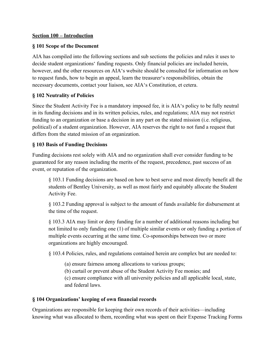#### **Section 100 – Introduction**

#### **§ 101 Scope of the Document**

AIA has compiled into the following sections and sub sections the policies and rules it uses to decide student organizations' funding requests. Only financial policies are included herein, however, and the other resources on AIA's website should be consulted for information on how to request funds, how to begin an appeal, learn the treasurer's responsibilities, obtain the necessary documents, contact your liaison, see AIA's Constitution, et cetera.

#### **§ 102 Neutrality of Policies**

Since the Student Activity Fee is a mandatory imposed fee, it is AIA's policy to be fully neutral in its funding decisions and in its written policies, rules, and regulations; AIA may not restrict funding to an organization or base a decision in any part on the stated mission (i.e. religious, political) of a student organization. However, AIA reserves the right to not fund a request that differs from the stated mission of an organization.

#### **§ 103 Basis of Funding Decisions**

Funding decisions rest solely with AIA and no organization shall ever consider funding to be guaranteed for any reason including the merits of the request, precedence, past success of an event, or reputation of the organization.

§ 103.1 Funding decisions are based on how to best serve and most directly benefit all the students of Bentley University, as well as most fairly and equitably allocate the Student Activity Fee.

§ 103.2 Funding approval is subject to the amount of funds available for disbursement at the time of the request.

§ 103.3 AIA may limit or deny funding for a number of additional reasons including but not limited to only funding one (1) of multiple similar events or only funding a portion of multiple events occurring at the same time. Co-sponsorships between two or more organizations are highly encouraged.

§ 103.4 Policies, rules, and regulations contained herein are complex but are needed to:

(a) ensure fairness among allocations to various groups;

(b) curtail or prevent abuse of the Student Activity Fee monies; and

(c) ensure compliance with all university policies and all applicable local, state, and federal laws.

#### **§ 104 Organizations' keeping of own financial records**

Organizations are responsible for keeping their own records of their activities—including knowing what was allocated to them, recording what was spent on their Expense Tracking Forms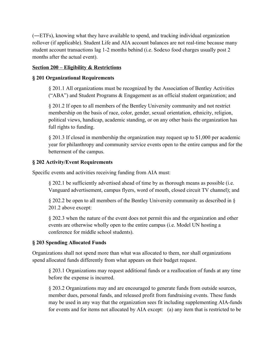(―ETFs), knowing what they have available to spend, and tracking individual organization rollover (if applicable). Student Life and AIA account balances are not real-time because many student account transactions lag 1-2 months behind (i.e. Sodexo food charges usually post 2 months after the actual event).

#### **Section 200 – Eligibility & Restrictions**

# **§ 201 Organizational Requirements**

§ 201.1 All organizations must be recognized by the Association of Bentley Activities ("ABA") and Student Programs & Engagement as an official student organization; and

§ 201.2 If open to all members of the Bentley University community and not restrict membership on the basis of race, color, gender, sexual orientation, ethnicity, religion, political views, handicap, academic standing, or on any other basis the organization has full rights to funding.

§ 201.3 If closed in membership the organization may request up to \$1,000 per academic year for philanthropy and community service events open to the entire campus and for the betterment of the campus.

# **§ 202 Activity/Event Requirements**

Specific events and activities receiving funding from AIA must:

§ 202.1 be sufficiently advertised ahead of time by as thorough means as possible (i.e. Vanguard advertisement, campus flyers, word of mouth, closed circuit TV channel); and

§ 202.2 be open to all members of the Bentley University community as described in § 201.2 above except:

§ 202.3 when the nature of the event does not permit this and the organization and other events are otherwise wholly open to the entire campus (i.e. Model UN hosting a conference for middle school students).

# **§ 203 Spending Allocated Funds**

Organizations shall not spend more than what was allocated to them, nor shall organizations spend allocated funds differently from what appears on their budget request.

§ 203.1 Organizations may request additional funds or a reallocation of funds at any time before the expense is incurred.

§ 203.2 Organizations may and are encouraged to generate funds from outside sources, member dues, personal funds, and released profit from fundraising events. These funds may be used in any way that the organization sees fit including supplementing AIA-funds for events and for items not allocated by AIA except: (a) any item that is restricted to be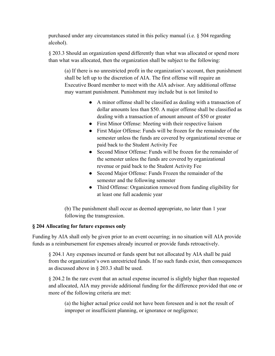purchased under any circumstances stated in this policy manual (i.e. § 504 regarding alcohol).

§ 203.3 Should an organization spend differently than what was allocated or spend more than what was allocated, then the organization shall be subject to the following:

(a) If there is no unrestricted profit in the organization's account, then punishment shall be left up to the discretion of AIA. The first offense will require an Executive Board member to meet with the AIA advisor. Any additional offense may warrant punishment. Punishment may include but is not limited to

- A minor offense shall be classified as dealing with a transaction of dollar amounts less than \$50. A major offense shall be classified as dealing with a transaction of amount amount of \$50 or greater
- *●* First Minor Offense: Meeting with their respective liaison
- *●* First Major Offense: Funds will be frozen for the remainder of the semester unless the funds are covered by organizational revenue or paid back to the Student Activity Fee
- Second Minor Offense: Funds will be frozen for the remainder of the semester unless the funds are covered by organizational revenue or paid back to the Student Activity Fee
- *●* Second Major Offense: Funds Frozen the remainder of the semester and the following semester
- *●* Third Offense: Organization removed from funding eligibility for at least one full academic year

(b) The punishment shall occur as deemed appropriate, no later than 1 year following the transgression.

# **§ 204 Allocating for future expenses only**

Funding by AIA shall only be given prior to an event occurring; in no situation will AIA provide funds as a reimbursement for expenses already incurred or provide funds retroactively.

§ 204.1 Any expenses incurred or funds spent but not allocated by AIA shall be paid from the organization's own unrestricted funds. If no such funds exist, then consequences as discussed above in § 203.3 shall be used.

§ 204.2 In the rare event that an actual expense incurred is slightly higher than requested and allocated, AIA may provide additional funding for the difference provided that one or more of the following criteria are met:

(a) the higher actual price could not have been foreseen and is not the result of improper or insufficient planning, or ignorance or negligence;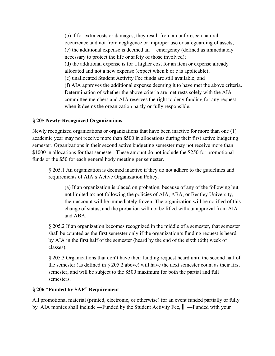(b) if for extra costs or damages, they result from an unforeseen natural occurrence and not from negligence or improper use or safeguarding of assets; (c) the additional expense is deemed an ―emergency (defined as immediately necessary to protect the life or safety of those involved); (d) the additional expense is for a higher cost for an item or expense already allocated and not a new expense (expect when b or c is applicable); (e) unallocated Student Activity Fee funds are still available; and (f) AIA approves the additional expense deeming it to have met the above criteria. Determination of whether the above criteria are met rests solely with the AIA committee members and AIA reserves the right to deny funding for any request when it deems the organization partly or fully responsible.

# **§ 205 Newly-Recognized Organizations**

Newly recognized organizations or organizations that have been inactive for more than one (1) academic year may not receive more than \$500 in allocations during their first active budgeting semester. Organizations in their second active budgeting semester may not receive more than \$1000 in allocations for that semester. These amount do not include the \$250 for promotional funds or the \$50 for each general body meeting per semester.

§ 205.1 An organization is deemed inactive if they do not adhere to the guidelines and requirements of AIA's Active Organization Policy.

(a) If an organization is placed on probation, because of any of the following but not limited to: not following the policies of AIA, ABA, or Bentley University, their account will be immediately frozen. The organization will be notified of this change of status, and the probation will not be lifted without approval from AIA and ABA.

§ 205.2 If an organization becomes recognized in the middle of a semester, that semester shall be counted as the first semester only if the organization's funding request is heard by AIA in the first half of the semester (heard by the end of the sixth (6th) week of classes).

§ 205.3 Organizations that don't have their funding request heard until the second half of the semester (as defined in § 205.2 above) will have the next semester count as their first semester, and will be subject to the \$500 maximum for both the partial and full semesters.

#### **§ 206 "Funded by SAF" Requirement**

All promotional material (printed, electronic, or otherwise) for an event funded partially or fully by AIA monies shall include ―Funded by the Student Activity Fee,‖ ―Funded with your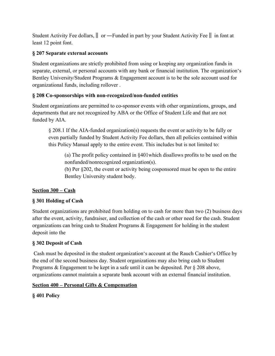Student Activity Fee dollars,‖ or ―Funded in part by your Student Activity Fee‖ in font at least 12 point font.

# **§ 207 Separate external accounts**

Student organizations are strictly prohibited from using or keeping any organization funds in separate, external, or personal accounts with any bank or financial institution. The organization's Bentley University/Student Programs & Engagement account is to be the sole account used for organizational funds, including rollover .

# **§ 208 Co-sponsorships with non-recognized/non-funded entities**

Student organizations are permitted to co-sponsor events with other organizations, groups, and departments that are not recognized by ABA or the Office of Student Life and that are not funded by AIA.

§ 208.1 If the AIA-funded organization(s) requests the event or activity to be fully or even partially funded by Student Activity Fee dollars, then all policies contained within this Policy Manual apply to the entire event. This includes but is not limited to:

(a) The profit policy contained in §401which disallows profits to be used on the nonfunded/nonrecognized organization(s).

(b) Per §202, the event or activity being cosponsored must be open to the entire Bentley University student body.

# **Section 300 – Cash**

# **§ 301 Holding of Cash**

Student organizations are prohibited from holding on to cash for more than two (2) business days after the event, activity, fundraiser, and collection of the cash or other need for the cash. Student organizations can bring cash to Student Programs & Engagement for holding in the student deposit into the

# **§ 302 Deposit of Cash**

 Cash must be deposited in the student organization's account at the Rauch Cashier's Office by the end of the second business day. Student organizations may also bring cash to Student Programs & Engagement to be kept in a safe until it can be deposited. Per § 208 above, organizations cannot maintain a separate bank account with an external financial institution.

# **Section 400 – Personal Gifts & Compensation**

# **§ 401 Policy**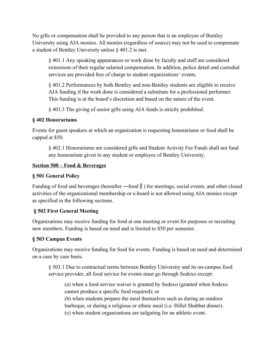No gifts or compensation shall be provided to any person that is an employee of Bentley University using AIA monies. All monies (regardless of source) may not be used to compensate a student of Bentley University unless § 401.2 is met.

§ 401.1 Any speaking appearances or work done by faculty and staff are considered extensions of their regular salaried compensation. In addition, police detail and custodial services are provided free of charge to student organizations' events.

§ 401.2 Performances by both Bentley and non-Bentley students are eligible to receive AIA funding if the work done is considered a substitute for a professional performer. This funding is at the board's discretion and based on the nature of the event.

§ 401.3 The giving of senior gifts using AIA funds is strictly prohibited.

# **§ 402 Honorariums**

Events for guest speakers at which an organization is requesting honorariums or food shall be capped at \$50.

§ 402.1 Honorariums are considered gifts and Student Activity Fee Funds shall not fund any honorarium given to any student or employee of Bentley University.

#### **Section 500 – Food & Beverages**

# **§ 501 General Policy**

Funding of food and beverages (hereafter —food ||) for meetings, social events, and other closed activities of the organizational membership or e-board is not allowed using AIA monies except as specified in the following sections.

# **§ 502 First General Meeting**

Organizations may receive funding for food at one meeting or event for purposes or recruiting new members. Funding is based on need and is limited to \$50 per semester.

# **§ 503 Campus Events**

Organizations may receive funding for food for events. Funding is based on need and determined on a case by case basis.

§ 503.1 Due to contractual terms between Bentley University and its on-campus food service provider, all food service for events must go through Sodexo except:

(a) when a food service waiver is granted by Sodexo (granted when Sodexo cannot produce a specific food required); or

(b) when students prepare the meal themselves such as during an outdoor barbeque, or during a religious or ethnic meal (i.e. Hillel Shabbat dinner). (c) when student organizations are tailgating for an athletic event.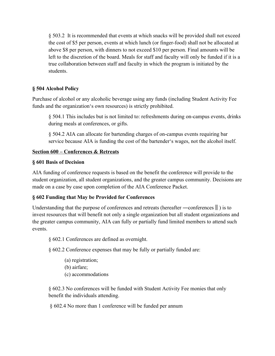§ 503.2 It is recommended that events at which snacks will be provided shall not exceed the cost of \$5 per person, events at which lunch (or finger-food) shall not be allocated at above \$8 per person, with dinners to not exceed \$10 per person. Final amounts will be left to the discretion of the board. Meals for staff and faculty will only be funded if it is a true collaboration between staff and faculty in which the program is initiated by the students.

# **§ 504 Alcohol Policy**

Purchase of alcohol or any alcoholic beverage using any funds (including Student Activity Fee funds and the organization's own resources) is strictly prohibited.

§ 504.1 This includes but is not limited to: refreshments during on-campus events, drinks during meals at conferences, or gifts.

§ 504.2 AIA can allocate for bartending charges of on-campus events requiring bar service because AIA is funding the cost of the bartender's wages, not the alcohol itself.

#### **Section 600 – Conferences & Retreats**

#### **§ 601 Basis of Decision**

AIA funding of conference requests is based on the benefit the conference will provide to the student organization, all student organizations, and the greater campus community. Decisions are made on a case by case upon completion of the AIA Conference Packet.

# **§ 602 Funding that May be Provided for Conferences**

Understanding that the purpose of conferences and retreats (hereafter —conferences  $\parallel$ ) is to invest resources that will benefit not only a single organization but all student organizations and the greater campus community, AIA can fully or partially fund limited members to attend such events.

§ 602.1 Conferences are defined as overnight.

§ 602.2 Conference expenses that may be fully or partially funded are:

(a) registration; (b) airfare; (c) accommodations

§ 602.3 No conferences will be funded with Student Activity Fee monies that only benefit the individuals attending.

§ 602.4 No more than 1 conference will be funded per annum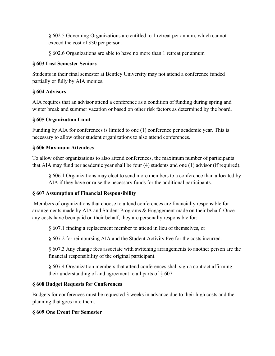§ 602.5 Governing Organizations are entitled to 1 retreat per annum, which cannot exceed the cost of \$30 per person.

§ 602.6 Organizations are able to have no more than 1 retreat per annum

# **§ 603 Last Semester Seniors**

Students in their final semester at Bentley University may not attend a conference funded partially or fully by AIA monies.

# **§ 604 Advisors**

AIA requires that an advisor attend a conference as a condition of funding during spring and winter break and summer vacation or based on other risk factors as determined by the board.

# **§ 605 Organization Limit**

Funding by AIA for conferences is limited to one (1) conference per academic year. This is necessary to allow other student organizations to also attend conferences.

# **§ 606 Maximum Attendees**

To allow other organizations to also attend conferences, the maximum number of participants that AIA may fund per academic year shall be four (4) students and one (1) advisor (if required).

§ 606.1 Organizations may elect to send more members to a conference than allocated by AIA if they have or raise the necessary funds for the additional participants.

# **§ 607 Assumption of Financial Responsibility**

 Members of organizations that choose to attend conferences are financially responsible for arrangements made by AIA and Student Programs & Engagement made on their behalf. Once any costs have been paid on their behalf, they are personally responsible for:

§ 607.1 finding a replacement member to attend in lieu of themselves, or

§ 607.2 for reimbursing AIA and the Student Activity Fee for the costs incurred.

§ 607.3 Any change fees associate with switching arrangements to another person are the financial responsibility of the original participant.

§ 607.4 Organization members that attend conferences shall sign a contract affirming their understanding of and agreement to all parts of § 607.

# **§ 608 Budget Requests for Conferences**

Budgets for conferences must be requested 3 weeks in advance due to their high costs and the planning that goes into them.

# **§ 609 One Event Per Semester**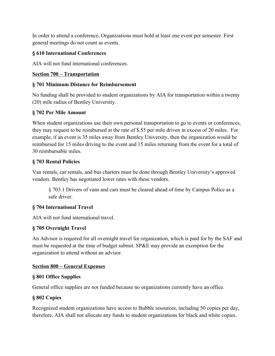In order to attend a conference, Organizations must hold at least one event per semester. First general meetings do not count as events.

# **§ 610 International Conferences**

AIA will not fund international conferences.

#### **Section 700 – Transportation**

#### **§ 701 Minimum Distance for Reimbursement**

No funding shall be provided to student organizations by AIA for transportation within a twenty (20) mile radius of Bentley University.

# **§ 702 Per Mile Amount**

When student organizations use their own personal transportation to go to events or conferences, they may request to be reimbursed at the rate of \$.55 per mile driven in excess of 20 miles. For example, if an event is 35 miles away from Bentley University, then the organization would be reimbursed for 15 miles driving to the event and 15 miles returning from the event for a total of 30 reimbursable miles.

#### **§ 703 Rental Policies**

Van rentals, car rentals, and bus charters must be done through Bentley University's approved vendors. Bentley has negotiated lower rates with these vendors.

§ 703.1 Drivers of vans and cars must be cleared ahead of time by Campus Police as a safe driver.

# **§ 704 International Travel**

AIA will not fund international travel.

#### **§ 705 Overnight Travel**

An Advisor is required for all overnight travel for organization, which is paid for by the SAF and must be requested at the time of budget submit. SP&E may provide an exemption for the organization to attend without an advisor.

#### **Section 800 – General Expenses**

#### **§ 801 Office Supplies**

General office supplies are not funded because no organizations currently have an office.

#### **§ 802 Copies**

Recognized student organizations have access to Bubble resources, including 50 copies per day, therefore, AIA shall not allocate any funds to student organizations for black and white copies.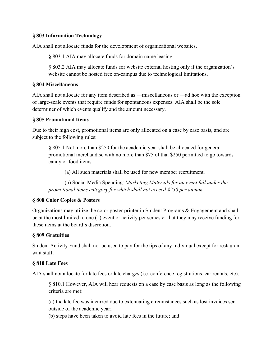#### **§ 803 Information Technology**

AIA shall not allocate funds for the development of organizational websites.

§ 803.1 AIA may allocate funds for domain name leasing.

§ 803.2 AIA may allocate funds for website external hosting only if the organization's website cannot be hosted free on-campus due to technological limitations.

#### **§ 804 Miscellaneous**

AIA shall not allocate for any item described as ―miscellaneous or ―ad hoc with the exception of large-scale events that require funds for spontaneous expenses. AIA shall be the sole determiner of which events qualify and the amount necessary.

#### **§ 805 Promotional Items**

Due to their high cost, promotional items are only allocated on a case by case basis, and are subject to the following rules:

§ 805.1 Not more than \$250 for the academic year shall be allocated for general promotional merchandise with no more than \$75 of that \$250 permitted to go towards candy or food items.

(a) All such materials shall be used for new member recruitment.

(b) Social Media Spending: *Marketing Materials for an event fall under the promotional items category for which shall not exceed \$250 per annum.*

#### **§ 808 Color Copies & Posters**

Organizations may utilize the color poster printer in Student Programs & Engagement and shall be at the most limited to one (1) event or activity per semester that they may receive funding for these items at the board's discretion.

#### **§ 809 Gratuities**

Student Activity Fund shall not be used to pay for the tips of any individual except for restaurant wait staff.

#### **§ 810 Late Fees**

AIA shall not allocate for late fees or late charges (i.e. conference registrations, car rentals, etc).

§ 810.1 However, AIA will hear requests on a case by case basis as long as the following criteria are met:

(a) the late fee was incurred due to extenuating circumstances such as lost invoices sent outside of the academic year;

(b) steps have been taken to avoid late fees in the future; and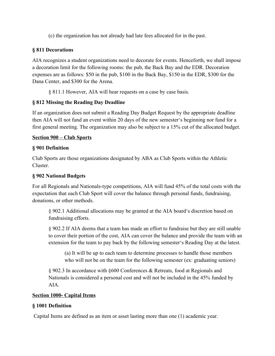(c) the organization has not already had late fees allocated for in the past.

# **§ 811 Decorations**

AIA recognizes a student organizations need to decorate for events. Henceforth, we shall impose a decoration limit for the following rooms: the pub, the Back Bay and the EDR. Decoration expenses are as follows: \$50 in the pub, \$100 in the Back Bay, \$150 in the EDR, \$300 for the Dana Center, and \$300 for the Arena.

§ 811.1 However, AIA will hear requests on a case by case basis.

# **§ 812 Missing the Reading Day Deadline**

If an organization does not submit a Reading Day Budget Request by the appropriate deadline then AIA will not fund an event within 20 days of the new semester's beginning nor fund for a first general meeting. The organization may also be subject to a 15% cut of the allocated budget.

#### **Section 900 – Club Sports**

# **§ 901 Definition**

Club Sports are those organizations designated by ABA as Club Sports within the Athletic Cluster.

#### **§ 902 National Budgets**

For all Regionals and Nationals-type competitions, AIA will fund 45% of the total costs with the expectation that each Club Sport will cover the balance through personal funds, fundraising, donations, or other methods.

§ 902.1 Additional allocations may be granted at the AIA board's discretion based on fundraising efforts.

§ 902.2 If AIA deems that a team has made an effort to fundraise but they are still unable to cover their portion of the cost, AIA can cover the balance and provide the team with an extension for the team to pay back by the following semester's Reading Day at the latest.

(a) It will be up to each team to determine processes to handle those members who will not be on the team for the following semester (ex: graduating seniors)

§ 902.3 In accordance with §600 Conferences & Retreats, food at Regionals and Nationals is considered a personal cost and will not be included in the 45% funded by AIA.

#### **Section 1000- Capital Items**

# **§ 1001 Definition**

Capital Items are defined as an item or asset lasting more than one (1) academic year.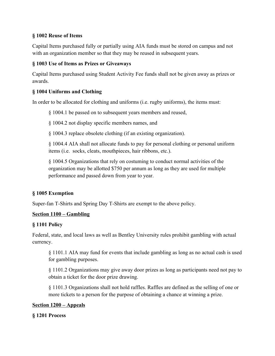# **§ 1002 Reuse of Items**

Capital Items purchased fully or partially using AIA funds must be stored on campus and not with an organization member so that they may be reused in subsequent years.

# **§ 1003 Use of Items as Prizes or Giveaways**

Capital Items purchased using Student Activity Fee funds shall not be given away as prizes or awards.

# **§ 1004 Uniforms and Clothing**

In order to be allocated for clothing and uniforms (i.e. rugby uniforms), the items must:

§ 1004.1 be passed on to subsequent years members and reused,

§ 1004.2 not display specific members names, and

§ 1004.3 replace obsolete clothing (if an existing organization).

§ 1004.4 AIA shall not allocate funds to pay for personal clothing or personal uniform items (i.e. socks, cleats, mouthpieces, hair ribbons, etc.).

§ 1004.5 Organizations that rely on costuming to conduct normal activities of the organization may be allotted \$750 per annum as long as they are used for multiple performance and passed down from year to year.

# **§ 1005 Exemption**

Super-fan T-Shirts and Spring Day T-Shirts are exempt to the above policy.

#### **Section 1100 – Gambling**

#### **§ 1101 Policy**

Federal, state, and local laws as well as Bentley University rules prohibit gambling with actual currency.

§ 1101.1 AIA may fund for events that include gambling as long as no actual cash is used for gambling purposes.

§ 1101.2 Organizations may give away door prizes as long as participants need not pay to obtain a ticket for the door prize drawing.

§ 1101.3 Organizations shall not hold raffles. Raffles are defined as the selling of one or more tickets to a person for the purpose of obtaining a chance at winning a prize.

#### **Section 1200 – Appeals**

#### **§ 1201 Process**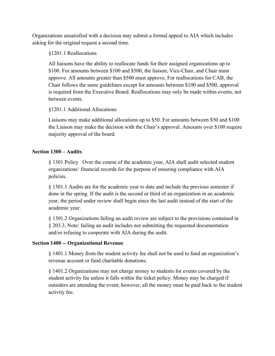Organizations unsatisfied with a decision may submit a formal appeal to AIA which includes asking for the original request a second time.

§1201.1 Reallocations

All liaisons have the ability to reallocate funds for their assigned organizations up to \$100. For amounts between \$100 and \$500, the liaison, Vice-Chair, and Chair must approve. All amounts greater than \$500 must approve. For reallocations for CAB, the Chair follows the same guidelines except for amounts between \$100 and \$500, approval is required from the Executive Board. Reallocations may only be made within events, not between events.

§1201.1 Additional Allocations

Liaisons may make additional allocations up to \$50. For amounts between \$50 and \$100 the Liaison may make the decision with the Chair's approval. Amounts over \$100 require majority approval of the board.

#### **Section 1300 – Audits**

§ 1301 Policy Over the course of the academic year, AIA shall audit selected student organizations' financial records for the purpose of ensuring compliance with AIA policies.

§ 1301.1 Audits are for the academic year to date and include the previous semester if done in the spring. If the audit is the second or third of an organization in an academic year, the period under review shall begin since the last audit instead of the start of the academic year.

§ 1301.2 Organizations failing an audit review are subject to the provisions contained in § 203.3. Note: failing an audit includes not submitting the requested documentation and/or refusing to cooperate with AIA during the audit.

#### **Section 1400 -- Organizational Revenue**

§ 1401.1 Money from the student activity fee shall not be used to fund an organization's revenue account or fund charitable donations.

§ 1401.2 Organizations may not charge money to students for events covered by the student activity fee unless it falls within the ticket policy. Money may be charged if outsiders are attending the event; however, all the money must be paid back to the student activity fee.